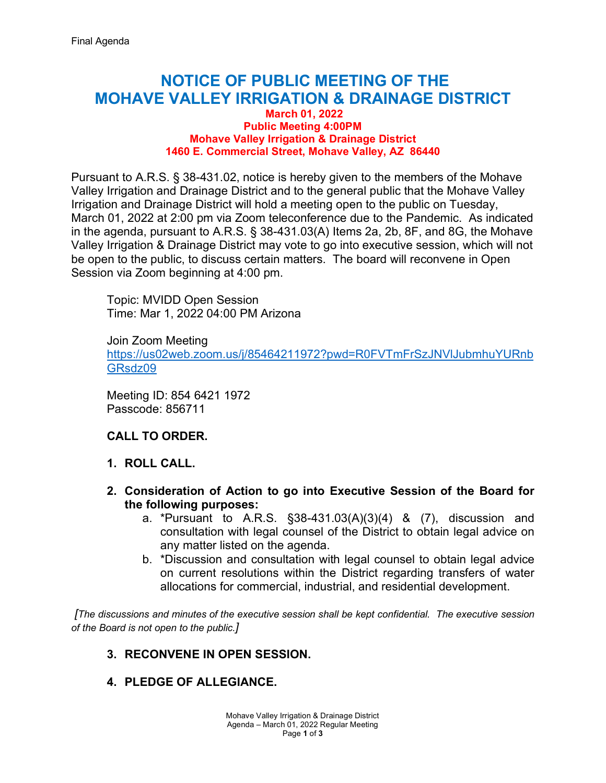# **NOTICE OF PUBLIC MEETING OF THE MOHAVE VALLEY IRRIGATION & DRAINAGE DISTRICT**

#### **March 01, 2022 Public Meeting 4:00PM Mohave Valley Irrigation & Drainage District 1460 E. Commercial Street, Mohave Valley, AZ 86440**

Pursuant to A.R.S. § 38-431.02, notice is hereby given to the members of the Mohave Valley Irrigation and Drainage District and to the general public that the Mohave Valley Irrigation and Drainage District will hold a meeting open to the public on Tuesday, March 01, 2022 at 2:00 pm via Zoom teleconference due to the Pandemic. As indicated in the agenda, pursuant to A.R.S. § 38-431.03(A) Items 2a, 2b, 8F, and 8G, the Mohave Valley Irrigation & Drainage District may vote to go into executive session, which will not be open to the public, to discuss certain matters. The board will reconvene in Open Session via Zoom beginning at 4:00 pm.

Topic: MVIDD Open Session Time: Mar 1, 2022 04:00 PM Arizona

Join Zoom Meeting [https://us02web.zoom.us/j/85464211972?pwd=R0FVTmFrSzJNVlJubmhuYURnb](https://us02web.zoom.us/j/85464211972?pwd=R0FVTmFrSzJNVlJubmhuYURnbGRsdz09) [GRsdz09](https://us02web.zoom.us/j/85464211972?pwd=R0FVTmFrSzJNVlJubmhuYURnbGRsdz09) 

Meeting ID: 854 6421 1972 Passcode: 856711

## **CALL TO ORDER.**

- **1. ROLL CALL.**
- **2. Consideration of Action to go into Executive Session of the Board for the following purposes:**
	- a. \*Pursuant to A.R.S. §38-431.03(A)(3)(4) & (7), discussion and consultation with legal counsel of the District to obtain legal advice on any matter listed on the agenda.
	- b. \*Discussion and consultation with legal counsel to obtain legal advice on current resolutions within the District regarding transfers of water allocations for commercial, industrial, and residential development.

 *[The discussions and minutes of the executive session shall be kept confidential. The executive session of the Board is not open to the public.]*

## **3. RECONVENE IN OPEN SESSION.**

## **4. PLEDGE OF ALLEGIANCE.**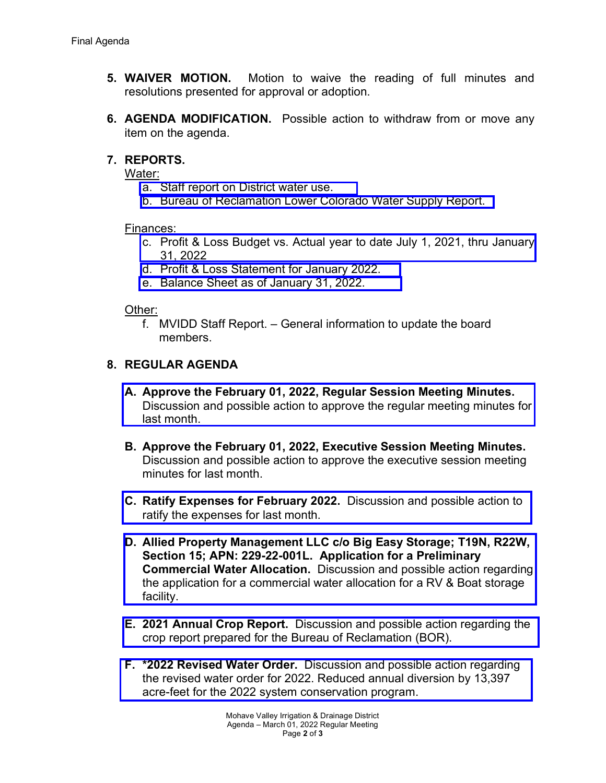- **5. WAIVER MOTION.** Motion to waive the reading of full minutes and resolutions presented for approval or adoption.
- **6. AGENDA MODIFICATION.** Possible action to withdraw from or move any item on the agenda.

## **7. REPORTS.**

Water:

- a. [Staff report on District water use.](https://mvidd.net/wp-content/uploads/2022/02/2022-03-01-Regular-Board-Action-Form-Item-7a-Reports-Water-District-Use.pdf)
- b. [Bureau of Reclamation Lower Colorado Water Supply Report.](https://mvidd.net/wp-content/uploads/2022/02/2022-03-01-Regular-Board-Action-Form-Item-7b-Reports-Water-BOR.pdf)

Finances:

- c. [Profit & Loss Budget vs. Actual year to date July 1, 2021, thru January](https://mvidd.net/wp-content/uploads/2022/02/2022-03-01-Regular-Board-Action-Form-Item-7c-Reports-Financial-profit-loss-vs-actual.pdf)  31, 2022
- d. [Profit & Loss Statement for January 2022.](https://mvidd.net/wp-content/uploads/2022/02/2022-03-01-Regular-Board-Action-Form-Item-7d-Reports-Financial-profit-loss-statement.pdf)
- e. [Balance Sheet as of January 31, 2022.](https://mvidd.net/wp-content/uploads/2022/02/2022-03-01-Regular-Board-Action-Form-Item-7e-Reports-Financial-Balance-Sheet.pdf)

## Other:

f. MVIDD Staff Report. – General information to update the board members.

## **8. REGULAR AGENDA**

- **A. Approve the February 01, 2022, Regular Session Meeting Minutes.**  [Discussion and possible action to approve the regular meeting minutes](https://mvidd.net/wp-content/uploads/2022/02/2022-03-01-Regular-Board-Action-Form-Item-8A-2022-02-01-Regular-Meeting-Minutes.pdf) for last month.
- **B. Approve the February 01, 2022, Executive Session Meeting Minutes.** Discussion and possible action to approve the executive session meeting minutes for last month.
- **C. Ratify Expenses for February 2022.** [Discussion and possible action to](https://mvidd.net/wp-content/uploads/2022/02/2022-03-01-Regular-Board-Action-Form-Item-8C-Ratify-Expenses-for-February-2022.pdf)  ratify the expenses for last month.
- **D. [Allied Property Management LLC c/o Big Easy Storage; T19N, R22W,](https://mvidd.net/wp-content/uploads/2022/02/2022-03-01-Regular-Board-Action-Form-Item-8D-Allied-Property-Mgmt-Big-Easy-Storage.pdf)  Section 15; APN: 229-22-001L. Application for a Preliminary Commercial Water Allocation.** Discussion and possible action regarding the application for a commercial water allocation for a RV & Boat storage facility.
- **E. 2021 Annual Crop Report.** Discussion and possible action regarding the [crop report prepared for the Bureau of Reclamation \(BOR\).](https://mvidd.net/wp-content/uploads/2022/02/2022-03-01-Regular-Board-Action-Form-Item-8E-2021-Annual-Crop-Report.pdf)
- **F. \*2022 Revised Water Order.** Discussion and possible action regarding [the revised water order for 2022. Reduced annual diversion by 13,397](https://mvidd.net/wp-content/uploads/2022/02/2022-03-01-Regular-Board-Action-Form-Item-8F-2022-Revised-Water-Order.pdf)  acre-feet for the 2022 system conservation program.